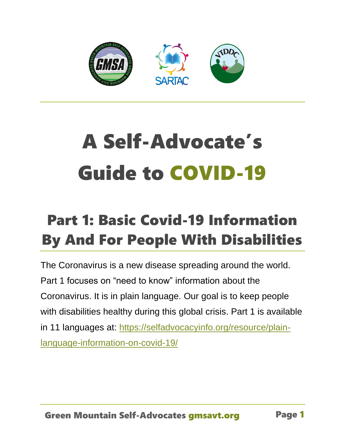

# A Self-Advocate's Guide to COVID-19

# Part 1: Basic Covid-19 Information By And For People With Disabilities

The Coronavirus is a new disease spreading around the world. Part 1 focuses on "need to know" information about the Coronavirus. It is in plain language. Our goal is to keep people with disabilities healthy during this global crisis. Part 1 is available in 11 languages at: [https://selfadvocacyinfo.org/resource/plain](https://selfadvocacyinfo.org/resource/plain-language-information-on-covid-19/)[language-information-on-covid-19/](https://selfadvocacyinfo.org/resource/plain-language-information-on-covid-19/)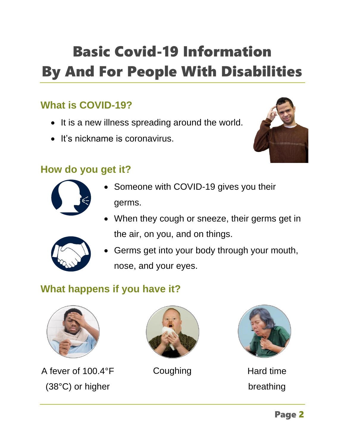# Basic Covid-19 Information By And For People With Disabilities

# **What is COVID-19?**

- It is a new illness spreading around the world.
- It's nickname is coronavirus.



#### **How do you get it?**



- Someone with COVID-19 gives you their germs.
- When they cough or sneeze, their germs get in the air, on you, and on things.



• Germs get into your body through your mouth, nose, and your eyes.

# **What happens if you have it?**



A fever of 100.4°F (38°C) or higher





Coughing **Hard time** breathing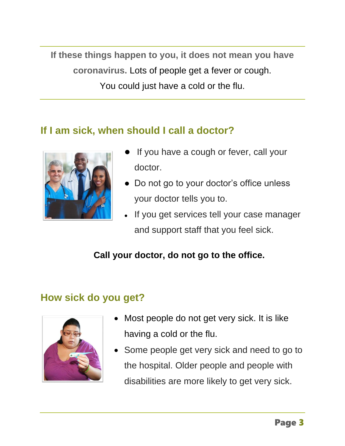**If these things happen to you, it does not mean you have coronavirus.** Lots of people get a fever or cough. You could just have a cold or the flu.

#### **If I am sick, when should I call a doctor?**



- If you have a cough or fever, call your doctor.
- Do not go to your doctor's office unless your doctor tells you to.
- If you get services tell your case manager and support staff that you feel sick.

#### **Call your doctor, do not go to the office.**

# **How sick do you get?**



- Most people do not get very sick. It is like having a cold or the flu.
- Some people get very sick and need to go to the hospital. Older people and people with disabilities are more likely to get very sick.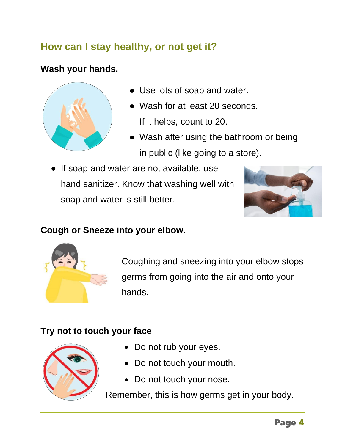# **How can I stay healthy, or not get it?**

#### **Wash your hands.**



- Use lots of soap and water.
- Wash for at least 20 seconds. If it helps, count to 20.
- Wash after using the bathroom or being in public (like going to a store).
- If soap and water are not available, use hand sanitizer. Know that washing well with soap and water is still better.



#### **Cough or Sneeze into your elbow.**



Coughing and sneezing into your elbow stops germs from going into the air and onto your hands.

#### **Try not to touch your face**



- Do not rub your eyes.
- Do not touch your mouth.
- Do not touch your nose.

Remember, this is how germs get in your body.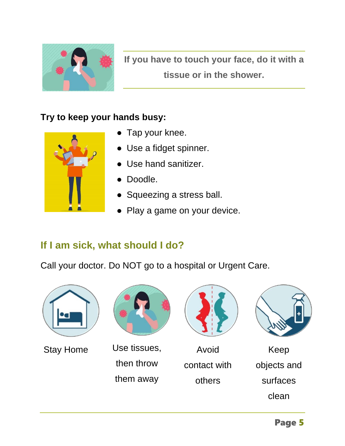

**If you have to touch your face, do it with a tissue or in the shower.**

#### **Try to keep your hands busy:**



- Tap your knee.
- Use a fidget spinner.
- Use hand sanitizer.
- Doodle.
- Squeezing a stress ball.
- Play a game on your device.

#### **If I am sick, what should I do?**

Call your doctor. Do NOT go to a hospital or Urgent Care.





Stay Home Use tissues, then throw them away



Avoid contact with others



Keep objects and surfaces clean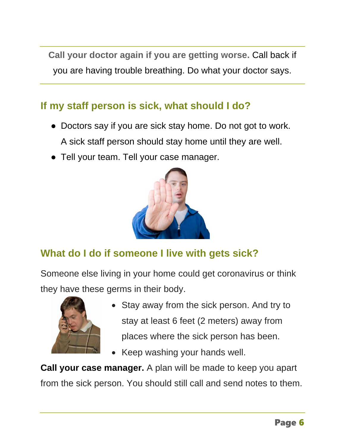**Call your doctor again if you are getting worse.** Call back if you are having trouble breathing. Do what your doctor says.

# **If my staff person is sick, what should I do?**

- Doctors say if you are sick stay home. Do not got to work. A sick staff person should stay home until they are well.
- Tell your team. Tell your case manager.



# **What do I do if someone I live with gets sick?**

Someone else living in your home could get coronavirus or think they have these germs in their body.



- Stay away from the sick person. And try to stay at least 6 feet (2 meters) away from places where the sick person has been.
- Keep washing your hands well.

**Call your case manager.** A plan will be made to keep you apart from the sick person. You should still call and send notes to them.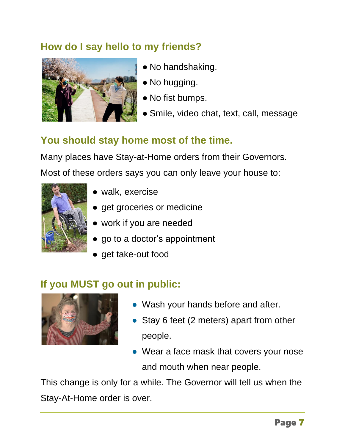# **How do I say hello to my friends?**



- No handshaking.
- No hugging.
- No fist bumps.
- Smile, video chat, text, call, message

# **You should stay home most of the time.**

Many places have Stay-at-Home orders from their Governors. Most of these orders says you can only leave your house to:



- walk, exercise
- get groceries or medicine
- work if you are needed
- go to a doctor's appointment
- get take-out food

# **If you MUST go out in public:**



- Wash your hands before and after.
- Stay 6 feet (2 meters) apart from other people.
- Wear a face mask that covers your nose and mouth when near people.

This change is only for a while. The Governor will tell us when the Stay-At-Home order is over.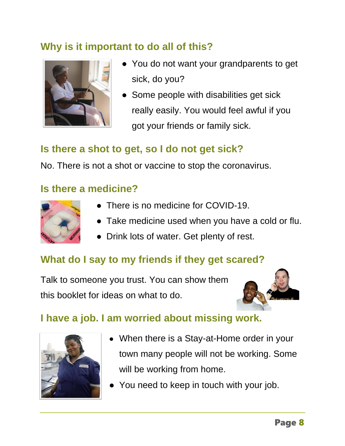# **Why is it important to do all of this?**



- You do not want your grandparents to get sick, do you?
- Some people with disabilities get sick really easily. You would feel awful if you got your friends or family sick.

# **Is there a shot to get, so I do not get sick?**

No. There is not a shot or vaccine to stop the coronavirus.

#### **Is there a medicine?**



- There is no medicine for COVID-19.
- Take medicine used when you have a cold or flu.
- Drink lots of water. Get plenty of rest.

# **What do I say to my friends if they get scared?**

Talk to someone you trust. You can show them this booklet for ideas on what to do.



#### **I have a job. I am worried about missing work.**



- When there is a Stay-at-Home order in your town many people will not be working. Some will be working from home.
- You need to keep in touch with your job.